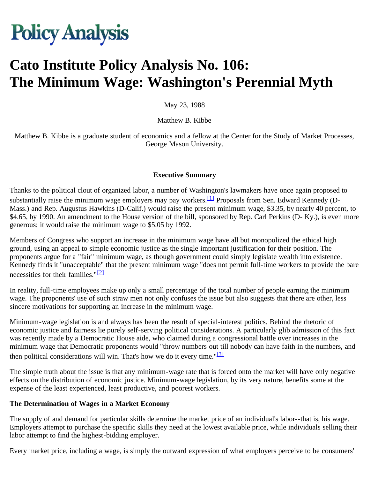# **Policy Analysis**

# **Cato Institute Policy Analysis No. 106: The Minimum Wage: Washington's Perennial Myth**

May 23, 1988

Matthew B. Kibbe

Matthew B. Kibbe is a graduate student of economics and a fellow at the Center for the Study of Market Processes, George Mason University.

#### **Executive Summary**

Thanks to the political clout of organized labor, a number of Washington's lawmakers have once again proposed to substantially raise the minimum wage employers may pay workers.<sup>[1]</sup> Proposals from Sen. Edward Kennedy (D-Mass.) and Rep. Augustus Hawkins (D-Calif.) would raise the present minimum wage, \$3.35, by nearly 40 percent, to \$4.65, by 1990. An amendment to the House version of the bill, sponsored by Rep. Carl Perkins (D- Ky.), is even more generous; it would raise the minimum wage to \$5.05 by 1992.

Members of Congress who support an increase in the minimum wage have all but monopolized the ethical high ground, using an appeal to simple economic justice as the single important justification for their position. The proponents argue for a "fair" minimum wage, as though government could simply legislate wealth into existence. Kennedy finds it "unacceptable" that the present minimum wage "does not permit full-time workers to provide the bare necessities for their families."<sup>[2]</sup>

In reality, full-time employees make up only a small percentage of the total number of people earning the minimum wage. The proponents' use of such straw men not only confuses the issue but also suggests that there are other, less sincere motivations for supporting an increase in the minimum wage.

Minimum-wage legislation is and always has been the result of special-interest politics. Behind the rhetoric of economic justice and fairness lie purely self-serving political considerations. A particularly glib admission of this fact was recently made by a Democratic House aide, who claimed during a congressional battle over increases in the minimum wage that Democratic proponents would "throw numbers out till nobody can have faith in the numbers, and then political considerations will win. That's how we do it every time."<sup>[3]</sup>

The simple truth about the issue is that any minimum-wage rate that is forced onto the market will have only negative effects on the distribution of economic justice. Minimum-wage legislation, by its very nature, benefits some at the expense of the least experienced, least productive, and poorest workers.

#### **The Determination of Wages in a Market Economy**

The supply of and demand for particular skills determine the market price of an individual's labor--that is, his wage. Employers attempt to purchase the specific skills they need at the lowest available price, while individuals selling their labor attempt to find the highest-bidding employer.

Every market price, including a wage, is simply the outward expression of what employers perceive to be consumers'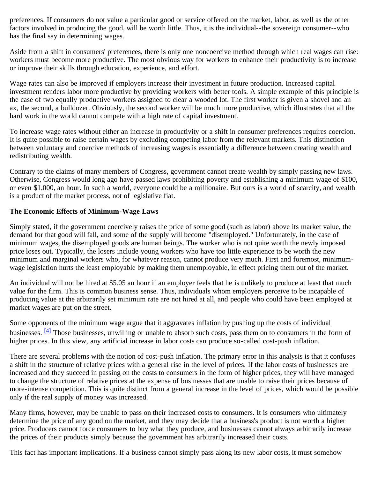preferences. If consumers do not value a particular good or service offered on the market, labor, as well as the other factors involved in producing the good, will be worth little. Thus, it is the individual--the sovereign consumer--who has the final say in determining wages.

Aside from a shift in consumers' preferences, there is only one noncoercive method through which real wages can rise: workers must become more productive. The most obvious way for workers to enhance their productivity is to increase or improve their skills through education, experience, and effort.

Wage rates can also be improved if employers increase their investment in future production. Increased capital investment renders labor more productive by providing workers with better tools. A simple example of this principle is the case of two equally productive workers assigned to clear a wooded lot. The first worker is given a shovel and an ax, the second, a bulldozer. Obviously, the second worker will be much more productive, which illustrates that all the hard work in the world cannot compete with a high rate of capital investment.

To increase wage rates without either an increase in productivity or a shift in consumer preferences requires coercion. It is quite possible to raise certain wages by excluding competing labor from the relevant markets. This distinction between voluntary and coercive methods of increasing wages is essentially a difference between creating wealth and redistributing wealth.

Contrary to the claims of many members of Congress, government cannot create wealth by simply passing new laws. Otherwise, Congress would long ago have passed laws prohibiting poverty and establishing a minimum wage of \$100, or even \$1,000, an hour. In such a world, everyone could be a millionaire. But ours is a world of scarcity, and wealth is a product of the market process, not of legislative fiat.

#### **The Economic Effects of Minimum-Wage Laws**

Simply stated, if the government coercively raises the price of some good (such as labor) above its market value, the demand for that good will fall, and some of the supply will become "disemployed." Unfortunately, in the case of minimum wages, the disemployed goods are human beings. The worker who is not quite worth the newly imposed price loses out. Typically, the losers include young workers who have too little experience to be worth the new minimum and marginal workers who, for whatever reason, cannot produce very much. First and foremost, minimumwage legislation hurts the least employable by making them unemployable, in effect pricing them out of the market.

An individual will not be hired at \$5.05 an hour if an employer feels that he is unlikely to produce at least that much value for the firm. This is common business sense. Thus, individuals whom employers perceive to be incapable of producing value at the arbitrarily set minimum rate are not hired at all, and people who could have been employed at market wages are put on the street.

Some opponents of the minimum wage argue that it aggravates inflation by pushing up the costs of individual businesses. [4] Those businesses, unwilling or unable to absorb such costs, pass them on to consumers in the form of higher prices. In this view, any artificial increase in labor costs can produce so-called cost-push inflation.

There are several problems with the notion of cost-push inflation. The primary error in this analysis is that it confuses a shift in the structure of relative prices with a general rise in the level of prices. If the labor costs of businesses are increased and they succeed in passing on the costs to consumers in the form of higher prices, they will have managed to change the structure of relative prices at the expense of businesses that are unable to raise their prices because of more-intense competition. This is quite distinct from a general increase in the level of prices, which would be possible only if the real supply of money was increased.

Many firms, however, may be unable to pass on their increased costs to consumers. It is consumers who ultimately determine the price of any good on the market, and they may decide that a business's product is not worth a higher price. Producers cannot force consumers to buy what they produce, and businesses cannot always arbitrarily increase the prices of their products simply because the government has arbitrarily increased their costs.

This fact has important implications. If a business cannot simply pass along its new labor costs, it must somehow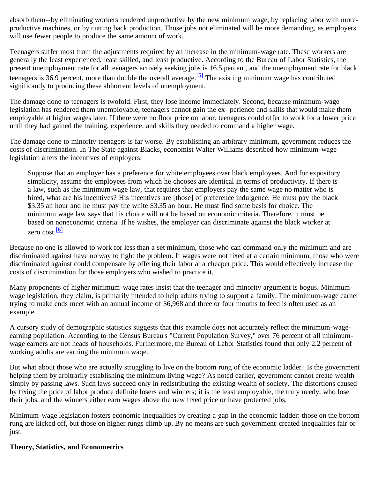absorb them--by eliminating workers rendered unproductive by the new minimum wage, by replacing labor with moreproductive machines, or by cutting back production. Those jobs not eliminated will be more demanding, as employers will use fewer people to produce the same amount of work.

Teenagers suffer most from the adjustments required by an increase in the minimum-wage rate. These workers are generally the least experienced, least skilled, and least productive. According to the Bureau of Labor Statistics, the present unemployment rate for all teenagers actively seeking jobs is 16.5 percent, and the unemployment rate for black teenagers is 36.9 percent, more than double the overall average.<sup>[5]</sup> The existing minimum wage has contributed significantly to producing these abhorrent levels of unemployment.

The damage done to teenagers is twofold. First, they lose income immediately. Second, because minimum-wage legislation has rendered them unemployable, teenagers cannot gain the ex- perience and skills that would make them employable at higher wages later. If there were no floor price on labor, teenagers could offer to work for a lower price until they had gained the training, experience, and skills they needed to command a higher wage.

The damage done to minority teenagers is far worse. By establishing an arbitrary minimum, government reduces the costs of discrimination. In The State against Blacks, economist Walter Williams described how minimum-wage legislation alters the incentives of employers:

Suppose that an employer has a preference for white employees over black employees. And for expository simplicity, assume the employees from which he chooses are identical in terms of productivity. If there is a law, such as the minimum wage law, that requires that employers pay the same wage no matter who is hired, what are his incentives? His incentives are [those] of preference indulgence. He must pay the black \$3.35 an hour and he must pay the white \$3.35 an hour. He must find some basis for choice. The minimum wage law says that his choice will not be based on economic criteria. Therefore, it must be based on noneconomic criteria. If he wishes, the employer can discriminate against the black worker at zero cost.<sup>[6]</sup>

Because no one is allowed to work for less than a set minimum, those who can command only the minimum and are discriminated against have no way to fight the problem. If wages were not fixed at a certain minimum, those who were discriminated against could compensate by offering their labor at a cheaper price. This would effectively increase the costs of discrimination for those employers who wished to practice it.

Many proponents of higher minimum-wage rates insist that the teenager and minority argument is bogus. Minimumwage legislation, they claim, is primarily intended to help adults trying to support a family. The minimum-wage earner trying to make ends meet with an annual income of \$6,968 and three or four mouths to feed is often used as an example.

A cursory study of demographic statistics suggests that this example does not accurately reflect the minimum-wageearning population. According to the Census Bureau's "Current Population Survey," over 76 percent of all minimumwage earners are not heads of households. Furthermore, the Bureau of Labor Statistics found that only 2.2 percent of working adults are earning the minimum waqe.

But what about those who are actually struggling to live on the bottom rung of the economic ladder? Is the government helping them by arbitrarily establishing the minimum living wage? As noted earlier, government cannot create wealth simply by passing laws. Such laws succeed only in redistributing the existing wealth of society. The distortions caused by fixing the price of labor produce definite losers and winners; it is the least employable, the truly needy, who lose their jobs, and the winners either earn wages above the new fixed price or have protected jobs.

Minimum-wage legislation fosters economic inequalities by creating a gap in the economic ladder: those on the bottom rung are kicked off, but those on higher rungs climb up. By no means are such government-created inequalities fair or just.

#### **Theory, Statistics, and Econometrics**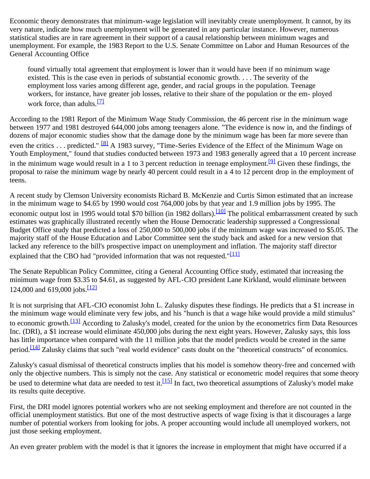Economic theory demonstrates that minimum-wage legislation will inevitably create unemployment. It cannot, by its very nature, indicate how much unemployment will be generated in any particular instance. However, numerous statistical studies are in rare agreement in their support of a causal relationship between minimum wages and unemployment. For example, the 1983 Report to the U.S. Senate Committee on Labor and Human Resources of the General Accounting Office

found virtually total agreement that employment is lower than it would have been if no minimum wage existed. This is the case even in periods of substantial economic growth. . . . The severity of the employment loss varies among different age, gender, and racial groups in the population. Teenage workers, for instance, have greater job losses, relative to their share of the population or the em- ployed work force, than adults. $\frac{[7]}{[7]}$ 

According to the 1981 Report of the Minimum Waqe Study Commission, the 46 percent rise in the minimum wage between 1977 and 1981 destroyed 644,000 jobs among teenagers alone. "The evidence is now in, and the findings of dozens of major economic studies show that the damage done by the minimum wage has been far more severe than even the critics . . . predicted." <sup>[8]</sup> A 1983 survey, "Time-Series Evidence of the Effect of the Minimum Wage on Youth Employment," found that studies conducted between 1973 and 1983 generally agreed that a 10 percent increase in the minimum wage would result in a 1 to 3 percent reduction in teenage employment.<sup>[9]</sup> Given these findings, the proposal to raise the minimum wage by nearly 40 percent could result in a 4 to 12 percent drop in the employment of teens.

A recent study by Clemson University economists Richard B. McKenzie and Curtis Simon estimated that an increase in the minimum wage to \$4.65 by 1990 would cost 764,000 jobs by that year and 1.9 million jobs by 1995. The economic output lost in 1995 would total \$70 billion (in 1982 dollars).<sup>[10]</sup> The political embarrassment created by such estimates was graphically illustrated recently when the House Democratic leadership suppressed a Congressional Budget Office study that predicted a loss of 250,000 to 500,000 jobs if the minimum wage was increased to \$5.05. The majority staff of the House Education and Labor Committee sent the study back and asked for a new version that lacked any reference to the bill's prospective impact on unemployment and inflation. The majority staff director explained that the CBO had "provided information that was not requested." $[11]$ 

The Senate Republican Policy Committee, citing a General Accounting Office study, estimated that increasing the minimum wage from \$3.35 to \$4.61, as suggested by AFL-CIO president Lane Kirkland, would eliminate between 124,000 and 619,000 jobs. $\frac{12}{2}$ 

It is not surprising that AFL-CIO economist John L. Zalusky disputes these findings. He predicts that a \$1 increase in the minimum wage would eliminate very few jobs, and his "hunch is that a wage hike would provide a mild stimulus" to economic growth.<sup>[13]</sup> According to Zalusky's model, created for the union by the econometrics firm Data Resources Inc. (DRI), a \$1 increase would eliminate 450,000 jobs during the next eight years. However, Zalusky says, this loss has little importance when compared with the 11 million jobs that the model predicts would be created in the same period.<sup>[14]</sup> Zalusky claims that such "real world evidence" casts doubt on the "theoretical constructs" of economics.

Zalusky's casual dismissal of theoretical constructs implies that his model is somehow theory-free and concerned with only the objective numbers. This is simply not the case. Any statistical or econometric model requires that some theory be used to determine what data are needed to test it.<sup>[15]</sup> In fact, two theoretical assumptions of Zalusky's model make its results quite deceptive.

First, the DRI model ignores potential workers who are not seeking employment and therefore are not counted in the official unemployment statistics. But one of the most destructive aspects of wage fixing is that it discourages a large number of potential workers from looking for jobs. A proper accounting would include all unemployed workers, not just those seeking employment.

An even greater problem with the model is that it ignores the increase in employment that might have occurred if a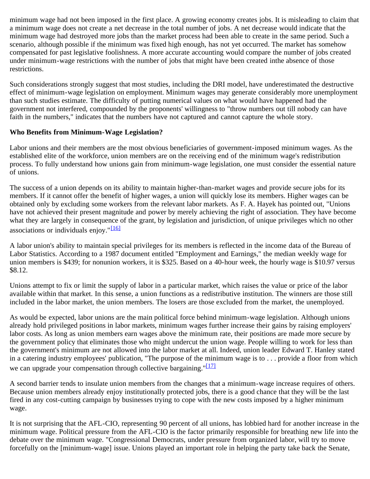minimum wage had not been imposed in the first place. A growing economy creates jobs. It is misleading to claim that a minimum wage does not create a net decrease in the total number of jobs. A net decrease would indicate that the minimum wage had destroyed more jobs than the market process had been able to create in the same period. Such a scenario, although possible if the minimum was fixed high enough, has not yet occurred. The market has somehow compensated for past legislative foolishness. A more accurate accounting would compare the number of jobs created under minimum-wage restrictions with the number of jobs that might have been created inthe absence of those restrictions.

Such considerations strongly suggest that most studies, including the DRI model, have underestimated the destructive effect of minimum-wage legislation on employment. Minimum wages may generate considerably more unemployment than such studies estimate. The difficulty of putting numerical values on what would have happened had the government not interfered, compounded by the proponents' willingness to "throw numbers out till nobody can have faith in the numbers," indicates that the numbers have not captured and cannot capture the whole story.

#### **Who Benefits from Minimum-Wage Legislation?**

Labor unions and their members are the most obvious beneficiaries of government-imposed minimum wages. As the established elite of the workforce, union members are on the receiving end of the minimum wage's redistribution process. To fully understand how unions gain from minimum-wage legislation, one must consider the essential nature of unions.

The success of a union depends on its ability to maintain higher-than-market wages and provide secure jobs for its members. If it cannot offer the benefit of higher wages, a union will quickly lose its members. Higher wages can be obtained only by excluding some workers from the relevant labor markets. As F. A. Hayek has pointed out, "Unions have not achieved their present magnitude and power by merely achieving the right of association. They have become what they are largely in consequence of the grant, by legislation and jurisdiction, of unique privileges which no other associations or individuals enjoy."<sup>[16]</sup>

A labor union's ability to maintain special privileges for its members is reflected in the income data of the Bureau of Labor Statistics. According to a 1987 document entitled "Employment and Earnings," the median weekly wage for union members is \$439; for nonunion workers, it is \$325. Based on a 40-hour week, the hourly wage is \$10.97 versus \$8.12.

Unions attempt to fix or limit the supply of labor in a particular market, which raises the value or price of the labor available within that market. In this sense, a union functions as a redistributive institution. The winners are those still included in the labor market, the union members. The losers are those excluded from the market, the unemployed.

As would be expected, labor unions are the main political force behind minimum-wage legislation. Although unions already hold privileged positions in labor markets, minimum wages further increase their gains by raising employers' labor costs. As long as union members earn wages above the minimum rate, their positions are made more secure by the government policy that eliminates those who might undercut the union wage. People willing to work for less than the government's minimum are not allowed into the labor market at all. Indeed, union leader Edward T. Hanley stated in a catering industry employees' publication, "The purpose of the minimum wage is to . . . provide a floor from which we can upgrade your compensation through collective bargaining."[17]

A second barrier tends to insulate union members from the changes that a minimum-wage increase requires of others. Because union members already enjoy institutionally protected jobs, there is a good chance that they will be the last fired in any cost-cutting campaign by businesses trying to cope with the new costs imposed by a higher minimum wage.

It is not surprising that the AFL-CIO, representing 90 percent of all unions, has lobbied hard for another increase in the minimum wage. Political pressure from the AFL-CIO is the factor primarily responsible for breathing new life into the debate over the minimum wage. "Congressional Democrats, under pressure from organized labor, will try to move forcefully on the [minimum-wage] issue. Unions played an important role in helping the party take back the Senate,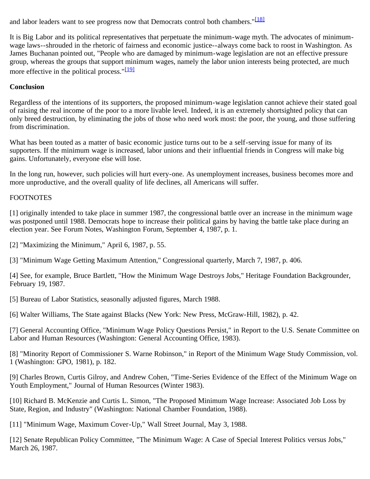and labor leaders want to see progress now that Democrats control both chambers."<sup>[18]</sup>

It is Big Labor and its political representatives that perpetuate the minimum-wage myth. The advocates of minimumwage laws--shrouded in the rhetoric of fairness and economic justice--always come back to roost in Washington. As James Buchanan pointed out, "People who are damaged by minimum-wage legislation are not an effective pressure group, whereas the groups that support minimum wages, namely the labor union interests being protected, are much more effective in the political process." $[19]$ 

## **Conclusion**

Regardless of the intentions of its supporters, the proposed minimum-wage legislation cannot achieve their stated goal of raising the real income of the poor to a more livable level. Indeed, it is an extremely shortsighted policy that can only breed destruction, by eliminating the jobs of those who need work most: the poor, the young, and those suffering from discrimination.

What has been touted as a matter of basic economic justice turns out to be a self-serving issue for many of its supporters. If the minimum wage is increased, labor unions and their influential friends in Congress will make big gains. Unfortunately, everyone else will lose.

In the long run, however, such policies will hurt every-one. As unemployment increases, business becomes more and more unproductive, and the overall quality of life declines, all Americans will suffer.

### **FOOTNOTES**

[1] originally intended to take place in summer 1987, the congressional battle over an increase in the minimum wage was postponed until 1988. Democrats hope to increase their political gains by having the battle take place during an election year. See Forum Notes, Washington Forum, September 4, 1987, p. 1.

[2] "Maximizing the Minimum," April 6, 1987, p. 55.

[3] "Minimum Wage Getting Maximum Attention," Congressional quarterly, March 7, 1987, p. 406.

[4] See, for example, Bruce Bartlett, "How the Minimum Wage Destroys Jobs," Heritage Foundation Backgrounder, February 19, 1987.

[5] Bureau of Labor Statistics, seasonally adjusted figures, March 1988.

[6] Walter Williams, The State against Blacks (New York: New Press, McGraw-Hill, 1982), p. 42.

[7] General Accounting Office, "Minimum Wage Policy Questions Persist," in Report to the U.S. Senate Committee on Labor and Human Resources (Washington: General Accounting Office, 1983).

[8] "Minority Report of Commissioner S. Warne Robinson," in Report of the Minimum Wage Study Commission, vol. 1 (Washington: GPO, 1981), p. 182.

[9] Charles Brown, Curtis Gilroy, and Andrew Cohen, "Time-Series Evidence of the Effect of the Minimum Wage on Youth Employment," Journal of Human Resources (Winter 1983).

[10] Richard B. McKenzie and Curtis L. Simon, "The Proposed Minimum Wage Increase: Associated Job Loss by State, Region, and Industry" (Washington: National Chamber Foundation, 1988).

[11] "Minimum Wage, Maximum Cover-Up," Wall Street Journal, May 3, 1988.

[12] Senate Republican Policy Committee, "The Minimum Wage: A Case of Special Interest Politics versus Jobs," March 26, 1987.